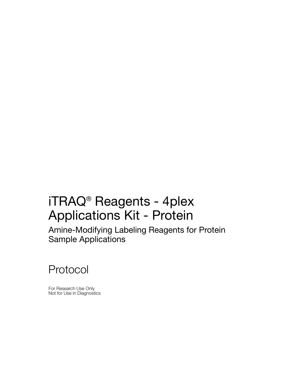# iTRAQ® Reagents - 4plex Applications Kit - Protein

Amine-Modifying Labeling Reagents for Protein Sample Applications

Protocol

For Research Use Only Not for Use in Diagnostics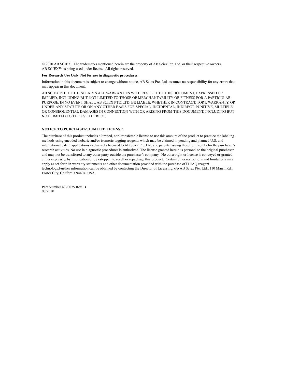© 2010 AB SCIEX. The trademarks mentioned herein are the property of AB Sciex Pte. Ltd. or their respective owners. AB SCIEX™ is being used under license. All rights reserved.

#### **For Research Use Only. Not for use in diagnostic procedures.**

Information in this document is subject to change without notice. AB Sciex Pte. Ltd. assumes no responsibility for any errors that may appear in this document.

AB SCIEX PTE. LTD. DISCLAIMS ALL WARRANTIES WITH RESPECT TO THIS DOCUMENT, EXPRESSED OR IMPLIED, INCLUDING BUT NOT LIMITED TO THOSE OF MERCHANTABILITY OR FITNESS FOR A PARTICULAR PURPOSE. IN NO EVENT SHALL AB SCIEX PTE. LTD. BE LIABLE, WHETHER IN CONTRACT, TORT, WARRANTY, OR UNDER ANY STATUTE OR ON ANY OTHER BASIS FOR SPECIAL, INCIDENTAL, INDIRECT, PUNITIVE, MULTIPLE OR CONSEQUENTIAL DAMAGES IN CONNECTION WITH OR ARISING FROM THIS DOCUMENT, INCLUDING BUT NOT LIMITED TO THE USE THEREOF.

#### **NOTICE TO PURCHASER: LIMITED LICENSE**

The purchase of this product includes a limited, non-transferable license to use this amount of the product to practice the labeling methods using encoded isobaric and/or isomeric tagging reagents which may be claimed in pending and planned U.S. and international patent applications exclusively licensed to AB Sciex Pte. Ltd, and patents issuing therefrom, solely for the purchaser's research activities. No use in diagnostic procedures is authorized. The license granted herein is personal to the original purchaser and may not be transferred to any other party outside the purchaser's company. No other right or license is conveyed or granted either expressly, by implication or by estoppel, to resell or repackage this product. Certain other restrictions and limitations may apply as set forth in warranty statements and other documentation provided with the purchase of iTRAQ reagent technology.Further information can be obtained by contacting the Director of Licensing, c/o AB Sciex Pte. Ltd., 110 Marsh Rd., Foster City, California 94404, USA.

Part Number 4370075 Rev. B 08/2010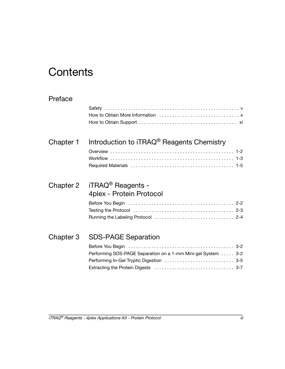## **Contents**

## [Preface](#page-4-0)

## Chapter 1 Introduction to iTRAQ<sup>®</sup> Reagents Chemistry

## [Chapter 2 iTRAQ](#page-22-0)® Reagents - 4plex - Protein Protocol

| Testing the Protocol $\ldots, \ldots, \ldots, \ldots, \ldots, \ldots, \ldots, \ldots, \ldots, 2-3$ |  |
|----------------------------------------------------------------------------------------------------|--|
|                                                                                                    |  |

## [Chapter 3 SDS-PAGE Separation](#page-30-0)

| Performing SDS-PAGE Separation on a 1-mm Mini-gel System  3-2 |  |
|---------------------------------------------------------------|--|
| Performing In-Gel Tryptic Digestion  3-5                      |  |
|                                                               |  |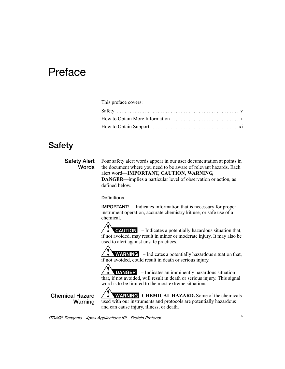## <span id="page-4-0"></span>Preface

| This preface covers: |
|----------------------|
|                      |
|                      |
|                      |

## <span id="page-4-1"></span>**Safety**

**Safety Alert Words** Four safety alert words appear in our user documentation at points in the document where you need to be aware of relevant hazards. Each alert word—**IMPORTANT, CAUTION, WARNING, DANGER**—implies a particular level of observation or action, as defined below.

#### **Definitions**

**IMPORTANT!** – Indicates information that is necessary for proper instrument operation, accurate chemistry kit use, or safe use of a chemical.

 – Indicates a potentially hazardous situation that, if not avoided, may result in minor or moderate injury. It may also be used to alert against unsafe practices.

**WARNING** – Indicates a potentially hazardous situation that, if not avoided, could result in death or serious injury.

 – Indicates an imminently hazardous situation that, if not avoided, will result in death or serious injury. This signal word is to be limited to the most extreme situations.

**Chemical Hazard Warning**

**WARNING** CHEMICAL HAZARD. Some of the chemicals used with our instruments and protocols are potentially hazardous and can cause injury, illness, or death.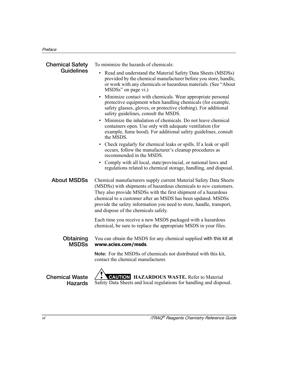<span id="page-5-0"></span>

| <b>Chemical Safety</b>                  | To minimize the hazards of chemicals:                                                                                                                                                                                                                                                                                                                                                  |  |  |  |  |  |  |  |  |
|-----------------------------------------|----------------------------------------------------------------------------------------------------------------------------------------------------------------------------------------------------------------------------------------------------------------------------------------------------------------------------------------------------------------------------------------|--|--|--|--|--|--|--|--|
| <b>Guidelines</b>                       | Read and understand the Material Safety Data Sheets (MSDSs)<br>$\bullet$<br>provided by the chemical manufacturer before you store, handle,<br>or work with any chemicals or hazardous materials. (See "About<br>MSDSs" on page vi.)<br>Minimize contact with chemicals. Wear appropriate personal                                                                                     |  |  |  |  |  |  |  |  |
|                                         | protective equipment when handling chemicals (for example,<br>safety glasses, gloves, or protective clothing). For additional<br>safety guidelines, consult the MSDS.                                                                                                                                                                                                                  |  |  |  |  |  |  |  |  |
|                                         | Minimize the inhalation of chemicals. Do not leave chemical<br>containers open. Use only with adequate ventilation (for<br>example, fume hood). For additional safety guidelines, consult<br>the MSDS.                                                                                                                                                                                 |  |  |  |  |  |  |  |  |
|                                         | • Check regularly for chemical leaks or spills. If a leak or spill<br>occurs, follow the manufacturer's cleanup procedures as<br>recommended in the MSDS.                                                                                                                                                                                                                              |  |  |  |  |  |  |  |  |
|                                         | Comply with all local, state/provincial, or national laws and<br>regulations related to chemical storage, handling, and disposal.                                                                                                                                                                                                                                                      |  |  |  |  |  |  |  |  |
| <b>About MSDSs</b>                      | Chemical manufacturers supply current Material Safety Data Sheets<br>(MSDSs) with shipments of hazardous chemicals to new customers.<br>They also provide MSDSs with the first shipment of a hazardous<br>chemical to a customer after an MSDS has been updated. MSDSs<br>provide the safety information you need to store, handle, transport,<br>and dispose of the chemicals safely. |  |  |  |  |  |  |  |  |
|                                         | Each time you receive a new MSDS packaged with a hazardous<br>chemical, be sure to replace the appropriate MSDS in your files.                                                                                                                                                                                                                                                         |  |  |  |  |  |  |  |  |
| Obtaining<br><b>MSDSs</b>               | You can obtain the MSDS for any chemical supplied with this kit at<br>www.sciex.com/msds.                                                                                                                                                                                                                                                                                              |  |  |  |  |  |  |  |  |
|                                         | Note: For the MSDSs of chemicals not distributed with this kit,<br>contact the chemical manufacturer.                                                                                                                                                                                                                                                                                  |  |  |  |  |  |  |  |  |
| <b>Chemical Waste</b><br><b>Hazards</b> | <b>CAUTION HAZARDOUS WASTE.</b> Refer to Material<br>Safety Data Sheets and local regulations for handling and disposal.                                                                                                                                                                                                                                                               |  |  |  |  |  |  |  |  |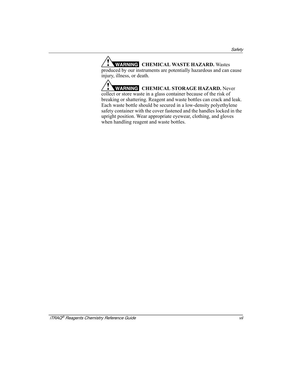**WARNING CHEMICAL WASTE HAZARD.** Wastes produced by our instruments are potentially hazardous and can cause injury, illness, or death.

**WARNING CHEMICAL STORAGE HAZARD.** Never collect or store waste in a glass container because of the risk of breaking or shattering. Reagent and waste bottles can crack and leak. Each waste bottle should be secured in a low-density polyethylene safety container with the cover fastened and the handles locked in the upright position. Wear appropriate eyewear, clothing, and gloves when handling reagent and waste bottles.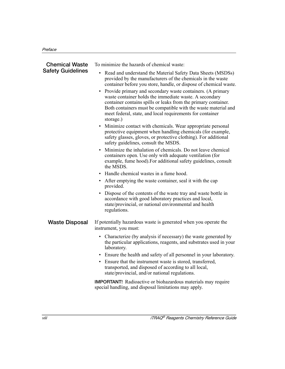| <b>Chemical Waste</b>    | To minimize the hazards of chemical waste:                                                                                                                                                                                                                                                                                                                                                                                                                                                                                                         |  |  |  |  |  |  |  |
|--------------------------|----------------------------------------------------------------------------------------------------------------------------------------------------------------------------------------------------------------------------------------------------------------------------------------------------------------------------------------------------------------------------------------------------------------------------------------------------------------------------------------------------------------------------------------------------|--|--|--|--|--|--|--|
| <b>Safety Guidelines</b> | Read and understand the Material Safety Data Sheets (MSDSs)<br>provided by the manufacturers of the chemicals in the waste<br>container before you store, handle, or dispose of chemical waste.<br>Provide primary and secondary waste containers. (A primary<br>$\bullet$<br>waste container holds the immediate waste. A secondary<br>container contains spills or leaks from the primary container.<br>Both containers must be compatible with the waste material and<br>meet federal, state, and local requirements for container<br>storage.) |  |  |  |  |  |  |  |
|                          | • Minimize contact with chemicals. Wear appropriate personal<br>protective equipment when handling chemicals (for example,<br>safety glasses, gloves, or protective clothing). For additional<br>safety guidelines, consult the MSDS.                                                                                                                                                                                                                                                                                                              |  |  |  |  |  |  |  |
|                          | Minimize the inhalation of chemicals. Do not leave chemical<br>containers open. Use only with adequate ventilation (for<br>example, fume hood). For additional safety guidelines, consult<br>the MSDS.                                                                                                                                                                                                                                                                                                                                             |  |  |  |  |  |  |  |
|                          | Handle chemical wastes in a fume hood.                                                                                                                                                                                                                                                                                                                                                                                                                                                                                                             |  |  |  |  |  |  |  |
|                          | After emptying the waste container, seal it with the cap<br>provided.                                                                                                                                                                                                                                                                                                                                                                                                                                                                              |  |  |  |  |  |  |  |
|                          | Dispose of the contents of the waste tray and waste bottle in<br>$\bullet$<br>accordance with good laboratory practices and local,<br>state/provincial, or national environmental and health<br>regulations.                                                                                                                                                                                                                                                                                                                                       |  |  |  |  |  |  |  |
| <b>Waste Disposal</b>    | If potentially hazardous waste is generated when you operate the<br>instrument, you must:                                                                                                                                                                                                                                                                                                                                                                                                                                                          |  |  |  |  |  |  |  |
|                          | • Characterize (by analysis if necessary) the waste generated by<br>the particular applications, reagents, and substrates used in your<br>laboratory.                                                                                                                                                                                                                                                                                                                                                                                              |  |  |  |  |  |  |  |
|                          | Ensure the health and safety of all personnel in your laboratory.                                                                                                                                                                                                                                                                                                                                                                                                                                                                                  |  |  |  |  |  |  |  |
|                          | Ensure that the instrument waste is stored, transferred,<br>$\bullet$<br>transported, and disposed of according to all local,<br>state/provincial, and/or national regulations.                                                                                                                                                                                                                                                                                                                                                                    |  |  |  |  |  |  |  |
|                          | <b>IMPORTANT!</b> Radioactive or biohazardous materials may require<br>special handling, and disposal limitations may apply.                                                                                                                                                                                                                                                                                                                                                                                                                       |  |  |  |  |  |  |  |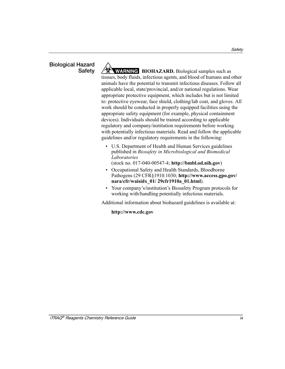# **Biological Hazard**

**Safety ARNING BIOHAZARD.** Biological samples such as tissues, body fluids, infectious agents, and blood of humans and other animals have the potential to transmit infectious diseases. Follow all applicable local, state/provincial, and/or national regulations. Wear appropriate protective equipment, which includes but is not limited to: protective eyewear, face shield, clothing/lab coat, and gloves. All work should be conducted in properly equipped facilities using the appropriate safety equipment (for example, physical containment devices). Individuals should be trained according to applicable regulatory and company/institution requirements before working with potentially infectious materials. Read and follow the applicable guidelines and/or regulatory requirements in the following:

- U.S. Department of Health and Human Services guidelines published in *Biosafety in Microbiological and Biomedical Laboratories* (stock no. 017-040-00547-4; **<http://bmbl.od.nih.gov>**)
- Occupational Safety and Health Standards, Bloodborne Pathogens (29 CFR§1910.1030; **[http://www.access.gpo.gov/](http://www.access.gpo.gov/nara/cfr/waisidx_01/29cfr1910a_01.html)  [nara/cfr/waisidx\\_01/ 29cfr1910a\\_01.html](http://www.access.gpo.gov/nara/cfr/waisidx_01/29cfr1910a_01.html)**).
- Your company's/institution's Biosafety Program protocols for working with/handling potentially infectious materials.

Additional information about biohazard guidelines is available at:

### **<http://www.cdc.gov>**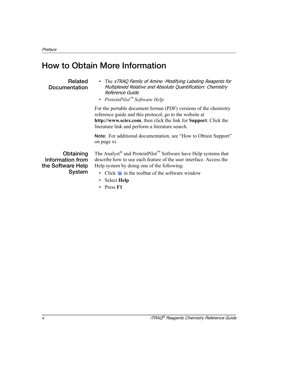## <span id="page-9-0"></span>**How to Obtain More Information**

#### **Related Documentation**

- <span id="page-9-1"></span>• The xTRAQ Family of Amine -Modifying Labeling Reagents for Multiplexed Relative and Absolute Quantification: Chemistry Reference Guide*.*
- *ProteinPilot™ Software Help*

For the portable document format (PDF) versions of the chemistry reference guide and this protocol, go to the website at **[http://www.sciex.com](http://www.absciex.com)**, then click the link for **Support**. Click the literature link and perform a literature search.

**Note:** For additional documentation, see ["How to Obtain Support"](#page-10-0) on [page xi](#page-10-0).

**Obtaining Information from the Software Help System**

The Analyst® and ProteinPilot™ Software have Help systems that describe how to use each feature of the user interface. Access the Help system by doing one of the following:

- Click  $\bullet$  in the toolbar of the software window
- Select **Help**
- Press **F1**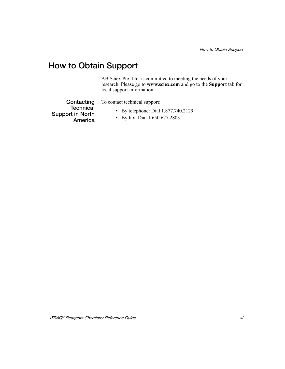## <span id="page-10-0"></span>**How to Obtain Support**

AB Sciex Pte. Ltd. is committed to meeting the needs of your research. Please go to **www.sciex.com** and go to the **Support** tab for local support information.

**Contacting Technical Support in North America**

To contact technical support:

- By telephone: Dial 1.877.740.2129
- By fax: Dial 1.650.627.2803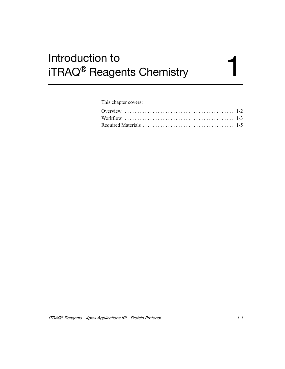# <span id="page-12-0"></span>Introduction to<br>iTRAQ® Reagents Chemistry 1 iTRAQ® Reagents Chemistry

#### This chapter covers: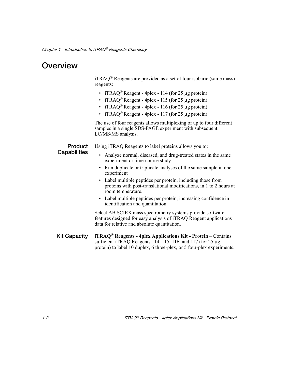## <span id="page-13-0"></span>**Overview**

 $iTRAQ^{\circledR}$  Reagents are provided as a set of four isobaric (same mass) reagents:

- iTRAQ<sup>®</sup> Reagent 4plex 114 (for 25 µg protein)
- iTRAQ<sup>®</sup> Reagent 4plex 115 (for 25 µg protein)
- iTRAQ<sup>®</sup> Reagent 4plex 116 (for 25 µg protein)
- iTRAQ<sup>®</sup> Reagent 4plex 117 (for 25 µg protein)

The use of four reagents allows multiplexing of up to four different samples in a single SDS-PAGE experiment with subsequent LC/MS/MS analysis.

**Product Capabilities**

Using iTRAQ Reagents to label proteins allows you to:

- Analyze normal, diseased, and drug-treated states in the same experiment or time-course study
- Run duplicate or triplicate analyses of the same sample in one experiment
- Label multiple peptides per protein, including those from proteins with post-translational modifications, in 1 to 2 hours at room temperature.
- Label multiple peptides per protein, increasing confidence in identification and quantitation

Select AB SCIEX mass spectrometry systems provide software features designed for easy analysis of iTRAQ Reagent applications data for relative and absolute quantitation.

**Kit Capacity iTRAQ® Reagents - 4plex Applications Kit - Protein** – Contains sufficient iTRAQ Reagents 114, 115, 116, and 117 (for 25 μg protein) to label 10 duplex, 6 three-plex, or 5 four-plex experiments.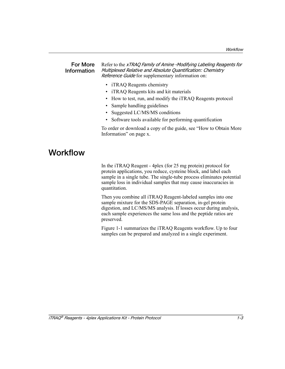#### **For More Information** Refer to the xTRAQ Family of Amine -Modifying Labeling Reagents for Multiplexed Relative and Absolute Quantification: Chemistry Reference Guide for supplementary information on:

- **iTRAQ Reagents chemistry**
- **iTRAQ Reagents kits and kit materials**
- How to test, run, and modify the iTRAQ Reagents protocol
- Sample handling guidelines
- Suggested LC/MS/MS conditions
- Software tools available for performing quantification

To order or download a copy of the guide, see ["How to Obtain More](#page-9-1)  [Information"](#page-9-1) on [page x.](#page-9-1)

## <span id="page-14-0"></span>**Workflow**

In the iTRAQ Reagent - 4plex (for 25 mg protein) protocol for protein applications, you reduce, cysteine block, and label each sample in a single tube. The single-tube process eliminates potential sample loss in individual samples that may cause inaccuracies in quantitation.

Then you combine all iTRAQ Reagent-labeled samples into one sample mixture for the SDS-PAGE separation, in-gel protein digestion, and LC/MS/MS analysis. If losses occur during analysis, each sample experiences the same loss and the peptide ratios are preserved.

Figure 1-1 summarizes the iTRAQ Reagents workflow. Up to four samples can be prepared and analyzed in a single experiment.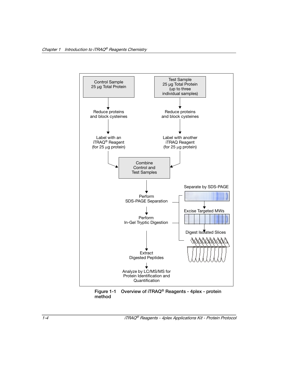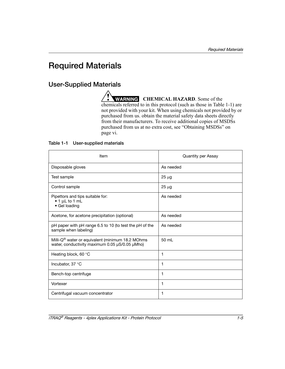## <span id="page-16-2"></span><span id="page-16-0"></span>**Required Materials**

### **User-Supplied Materials**

**WARNING** CHEMICAL HAZARD. Some of the chemicals referred to in this protocol (such as those in [Table 1-1\)](#page-16-1) are not provided with your kit. When using chemicals not provided by or purchased from us. obtain the material safety data sheets directly from their manufacturers. To receive additional copies of MSDSs purchased from us at no extra cost, see ["Obtaining MSDSs"](#page-5-0) on [page vi.](#page-5-0)

#### <span id="page-16-1"></span>**Table 1-1 User-supplied materials**

| Item                                                                                                           | <b>Quantity per Assay</b> |
|----------------------------------------------------------------------------------------------------------------|---------------------------|
| Disposable gloves                                                                                              | As needed                 |
| Test sample                                                                                                    | $25 \mu g$                |
| Control sample                                                                                                 | $25 \mu g$                |
| Pipettors and tips suitable for:<br>$\bullet$ 1 µL to 1 mL<br>• Gel loading                                    | As needed                 |
| Acetone, for acetone precipitation (optional)                                                                  | As needed                 |
| pH paper with pH range 6.5 to 10 (to test the pH of the<br>sample when labeling)                               | As needed                 |
| Milli-Q <sup>®</sup> water or equivalent (minimum 18.2 MOhms<br>water, conductivity maximum 0.05 µS/0.05 µMho) | $50 \mathrm{m}$           |
| Heating block, 60 °C                                                                                           | 1                         |
| Incubator, $37^{\circ}$ C                                                                                      | 1                         |
| Bench-top centrifuge                                                                                           | 1                         |
| Vortexer                                                                                                       | 1                         |
| Centrifugal vacuum concentrator                                                                                | 1                         |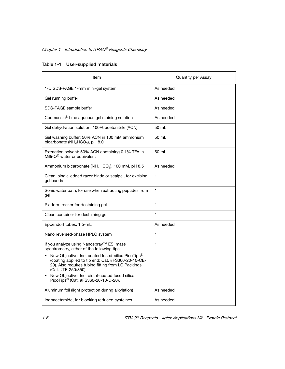|  |  | Table 1-1 User-supplied materials |
|--|--|-----------------------------------|
|--|--|-----------------------------------|

| Item                                                                                                                                                                                             | Quantity per Assay |  |  |  |  |  |  |  |
|--------------------------------------------------------------------------------------------------------------------------------------------------------------------------------------------------|--------------------|--|--|--|--|--|--|--|
| 1-D SDS-PAGE 1-mm mini-gel system                                                                                                                                                                | As needed          |  |  |  |  |  |  |  |
| Gel running buffer                                                                                                                                                                               | As needed          |  |  |  |  |  |  |  |
| SDS-PAGE sample buffer                                                                                                                                                                           | As needed          |  |  |  |  |  |  |  |
| Coomassie® blue aqueous gel staining solution                                                                                                                                                    | As needed          |  |  |  |  |  |  |  |
| Gel dehydration solution: 100% acetonitrile (ACN)                                                                                                                                                | 50 mL              |  |  |  |  |  |  |  |
| Gel washing buffer: 50% ACN in 100 mM ammonium<br>bicarbonate (NH <sub>4</sub> HCO <sub>3</sub> ), pH 8.0                                                                                        | 50 ml              |  |  |  |  |  |  |  |
| Extraction solvent: 50% ACN containing 0.1% TFA in<br>Milli-Q <sup>®</sup> water or equivalent                                                                                                   | 50 mL              |  |  |  |  |  |  |  |
| Ammonium bicarbonate (NH <sub>4</sub> HCO <sub>3</sub> ), 100 mM, pH 8.5                                                                                                                         | As needed          |  |  |  |  |  |  |  |
| Clean, single-edged razor blade or scalpel, for excising<br>gel bands                                                                                                                            | 1                  |  |  |  |  |  |  |  |
| Sonic water bath, for use when extracting peptides from<br>gel                                                                                                                                   | 1                  |  |  |  |  |  |  |  |
| Platform rocker for destaining gel                                                                                                                                                               | 1                  |  |  |  |  |  |  |  |
| Clean container for destaining gel                                                                                                                                                               | 1                  |  |  |  |  |  |  |  |
| Eppendorf tubes, 1.5-mL                                                                                                                                                                          | As needed          |  |  |  |  |  |  |  |
| Nano reversed-phase HPLC system                                                                                                                                                                  | 1                  |  |  |  |  |  |  |  |
| If you analyze using Nanospray™ ESI mass<br>spectrometry, either of the following tips:                                                                                                          | 1                  |  |  |  |  |  |  |  |
| New Objective, Inc. coated fused-silica PicoTips <sup>®</sup><br>(coating applied to tip end; Cat. #FS360-20-10-CE-<br>20). Also requires tubing fitting from LC Packings<br>(Cat. #TF-250/350). |                    |  |  |  |  |  |  |  |
| New Objective, Inc. distal-coated fused silica<br>$\bullet$<br>PicoTips <sup>®</sup> (Cat. #FS360-20-10-D-20).                                                                                   |                    |  |  |  |  |  |  |  |
| Aluminum foil (light protection during alkylation)                                                                                                                                               | As needed          |  |  |  |  |  |  |  |
| lodoacetamide, for blocking reduced cysteines                                                                                                                                                    | As needed          |  |  |  |  |  |  |  |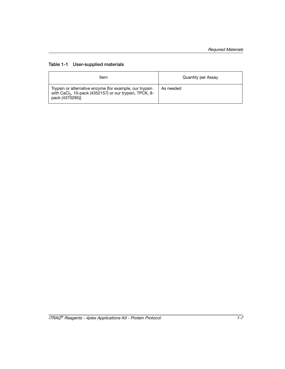#### **Table 1-1 User-supplied materials**

| Item                                                                                                                                              | Quantity per Assay |
|---------------------------------------------------------------------------------------------------------------------------------------------------|--------------------|
| Trypsin or alternative enzyme ffor example, our trypsin<br>with CaCl <sub>2</sub> , 10-pack (4352157) or our trypsin, TPCK, 8-<br>pack (4370285)] | As needed          |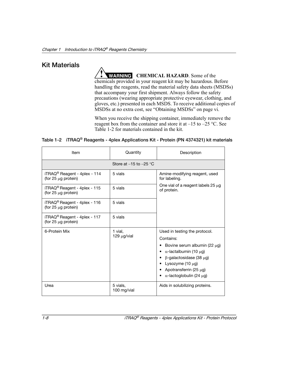### **Kit Materials**

**WARNING** CHEMICAL HAZARD. Some of the chemicals provided in your reagent kit may be hazardous. Before handling the reagents, read the material safety data sheets (MSDSs) that accompany your first shipment. Always follow the safety precautions (wearing appropriate protective eyewear, clothing, and gloves, etc.) presented in each MSDS. To receive additional copies of MSDSs at no extra cost, see ["Obtaining MSDSs"](#page-5-0) on [page vi.](#page-5-0)

When you receive the shipping container, immediately remove the reagent box from the container and store it at  $-15$  to  $-25$  °C. See [Table 1-2](#page-19-0) for materials contained in the kit.

#### <span id="page-19-0"></span>**Table 1-2 iTRAQ® Reagents - 4plex Applications Kit - Protein (PN 4374321) kit materials**

| Item                                                             | Quantity                     | Description                                                                                                                                                                                                                                   |  |
|------------------------------------------------------------------|------------------------------|-----------------------------------------------------------------------------------------------------------------------------------------------------------------------------------------------------------------------------------------------|--|
|                                                                  |                              |                                                                                                                                                                                                                                               |  |
| $iTRAQ^{\circledR}$ Reagent - 4plex - 114<br>(for 25 µg protein) | 5 vials                      | Amine-modifying reagent, used<br>for labeling.                                                                                                                                                                                                |  |
| $ITRAQ^{\circledR}$ Reagent - 4plex - 115<br>(for 25 µg protein) | 5 vials                      | One vial of a reagent labels $25 \mu$ g<br>of protein.                                                                                                                                                                                        |  |
| iTRAQ <sup>®</sup> Reagent - 4plex - 116<br>(for 25 µg protein)  | 5 vials                      |                                                                                                                                                                                                                                               |  |
| $iTRAQ^{\circledR}$ Reagent - 4plex - 117<br>(for 25 µg protein) | 5 vials                      |                                                                                                                                                                                                                                               |  |
| 6-Protein Mix                                                    | 1 vial.<br>$129 \mu g$ /vial | Used in testing the protocol.<br>Contains:<br>Bovine serum albumin (22 $\mu$ g)<br>$α$ -lactalbumin (10 μg)<br>٠<br>$\beta$ -galactosidase (38 µg)<br>Lysozyme $(10 \mu g)$<br>Apotransferrin (25 $\mu$ g)<br>$\alpha$ -lactoglobulin (24 µg) |  |
| Urea                                                             | 5 vials.<br>100 mg/vial      | Aids in solubilizing proteins.                                                                                                                                                                                                                |  |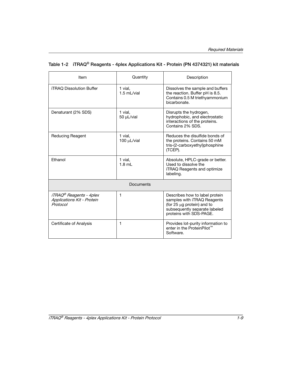| Item                                                                                   | Quantity                  | Description                                                                                                                                                    |  |  |
|----------------------------------------------------------------------------------------|---------------------------|----------------------------------------------------------------------------------------------------------------------------------------------------------------|--|--|
| <b>iTRAQ Dissolution Buffer</b>                                                        | 1 vial.<br>$1.5$ ml /vial | Dissolves the sample and buffers<br>the reaction. Buffer pH is 8.5.<br>Contains 0.5 M triethyammonium<br>bicarbonate.                                          |  |  |
| Denaturant (2% SDS)                                                                    | 1 vial.<br>50 µL/vial     | Disrupts the hydrogen,<br>hydrophobic, and electrostatic<br>interactions of the proteins.<br>Contains 2% SDS.                                                  |  |  |
| <b>Reducing Reagent</b>                                                                | 1 vial,<br>100 µL/vial    | Reduces the disulfide bonds of<br>the proteins. Contains 50 mM<br>tris-(2-carboxyethyl)phosphine<br>(TCEP).                                                    |  |  |
| Ethanol                                                                                | 1 vial.<br>$1.8$ mL       | Absolute, HPLC-grade or better.<br>Used to dissolve the<br><b>iTRAQ Reagents and optimize</b><br>labeling.                                                     |  |  |
| Documents                                                                              |                           |                                                                                                                                                                |  |  |
| <i><b>iTRAQ®</b></i> Reagents - 4plex<br><b>Applications Kit - Protein</b><br>Protocol | 1                         | Describes how to label protein<br>samples with <i>iTRAQ</i> Reagents<br>(for 25 µg protein) and to<br>subsequently separate labeled<br>proteins with SDS-PAGE. |  |  |
| Certificate of Analysis                                                                | 1                         | Provides lot-purity information to<br>enter in the ProteinPilot™<br>Software.                                                                                  |  |  |

### **Table 1-2 iTRAQ® Reagents - 4plex Applications Kit - Protein (PN 4374321) kit materials**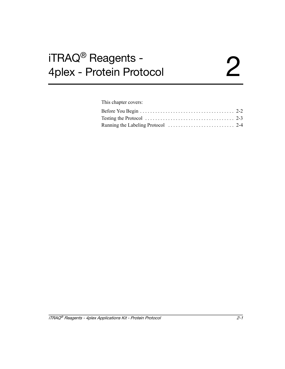# <span id="page-22-0"></span>iTRAQ<sup>®</sup> Reagents -<br>4plex - Protein Protocol 4plex - Protein Protocol 2

This chapter covers:

| Testing the Protocol $\ldots \ldots \ldots \ldots \ldots \ldots \ldots \ldots \ldots \ldots \ldots$ 2-3 |  |
|---------------------------------------------------------------------------------------------------------|--|
|                                                                                                         |  |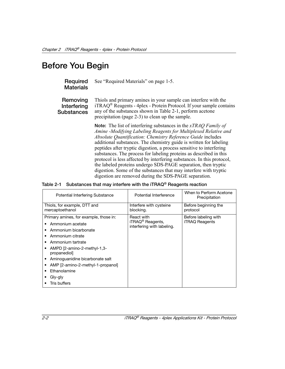## <span id="page-23-0"></span>**Before You Begin**

#### **Required Materials** See ["Required Materials" on page 1-5.](#page-16-2)

**Removing Interfering Substances**

Thiols and primary amines in your sample can interfere with the  $iTRAQ^®$  Reagents - 4plex - Protein Protocol. If your sample contains any of the substances shown in [Table 2-1](#page-23-1), perform acetone precipitation (page 2-3) to clean up the sample.

**Note:** The list of interfering substances in the *xTRAQ Family of Amine -Modifying Labeling Reagents for Multiplexed Relative and Absolute Quantification: Chemistry Reference Guide* includes additional substances. The chemistry guide is written for labeling peptides after tryptic digestion, a process sensitive to interfering substances. The process for labeling proteins as described in this protocol is less affected by interfering substances. In this protocol, the labeled proteins undergo SDS-PAGE separation, then tryptic digestion. Some of the substances that may interfere with tryptic digestion are removed during the SDS-PAGE separation.

#### <span id="page-23-1"></span>**Table 2-1 Substances that may interfere with the iTRAQ® Reagents reaction**

| <b>Potential Interfering Substance</b>                                                                                                                                                                                                                                                                                    | Potential Interference                                                   | When to Perform Acetone<br>Precipitation      |
|---------------------------------------------------------------------------------------------------------------------------------------------------------------------------------------------------------------------------------------------------------------------------------------------------------------------------|--------------------------------------------------------------------------|-----------------------------------------------|
| Thiols, for example, DTT and<br>mercaptoethanol                                                                                                                                                                                                                                                                           | Interfere with cysteine<br>blocking.                                     | Before beginning the<br>protocol              |
| Primary amines, for example, those in:<br>Ammonium acetate<br>٠<br>Ammonium bicarbonate<br>Ammonium citrate<br>Ammonium tartrate<br>٠<br>-3. AMPD [2-amino-2-methyl-1,3-<br>propanediol<br>Aminoquanidine bicarbonate salt<br>٠<br>AMP [2-amino-2-methyl-1-propanol]<br>٠<br>Ethanolamine<br>Gly-gly<br>٠<br>Tris buffers | React with<br>iTRAQ <sup>®</sup> Reagents,<br>interfering with labeling. | Before labeling with<br><b>iTRAQ Reagents</b> |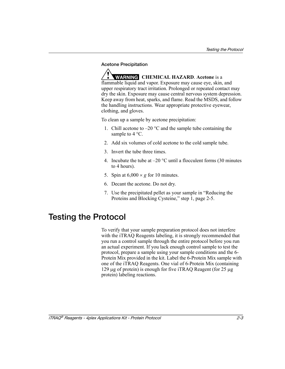#### **Acetone Precipitation**

**WARNING CHEMICAL HAZARD**. **Acetone** is a flammable liquid and vapor. Exposure may cause eye, skin, and upper respiratory tract irritation. Prolonged or repeated contact may dry the skin. Exposure may cause central nervous system depression. Keep away from heat, sparks, and flame. Read the MSDS, and follow the handling instructions. Wear appropriate protective eyewear, clothing, and gloves.

To clean up a sample by acetone precipitation:

- 1. Chill acetone to  $-20$  °C and the sample tube containing the sample to 4 °C.
- 2. Add six volumes of cold acetone to the cold sample tube.
- 3. Invert the tube three times.
- 4. Incubate the tube at  $-20$  °C until a flocculent forms (30 minutes) to 4 hours).
- 5. Spin at  $6,000 \times g$  for 10 minutes.
- 6. Decant the acetone. Do not dry.
- 7. Use the precipitated pellet as your sample in "Reducing the Proteins and Blocking Cysteine," [step 1, page 2-5](#page-26-0).

## <span id="page-24-0"></span>**Testing the Protocol**

To verify that your sample preparation protocol does not interfere with the iTRAQ Reagents labeling, it is strongly recommended that you run a control sample through the entire protocol before you run an actual experiment. If you lack enough control sample to test the protocol, prepare a sample using your sample conditions and the 6- Protein Mix provided in the kit. Label the 6-Protein Mix sample with one of the iTRAQ Reagents. One vial of 6-Protein Mix (containing 129 μg of protein) is enough for five iTRAQ Reagent (for 25 μg protein) labeling reactions.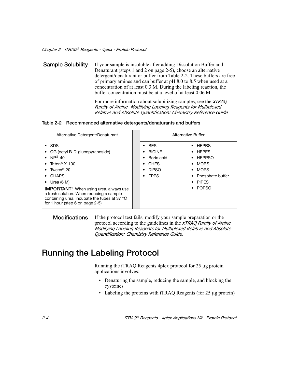<span id="page-25-1"></span>**Sample Solubility** If your sample is insoluble after adding Dissolution Buffer and Denaturant ([steps 1](#page-26-0) and [2](#page-26-2) on [page 2-5](#page-26-0)), choose an alternative detergent/denaturant or buffer from Table 2-2. These buffers are free of primary amines and can buffer at pH 8.0 to 8.5 when used at a concentration of at least 0.3 M. During the labeling reaction, the buffer concentration must be at a level of at least 0.06 M.

> For more information about solubilizing samples, see the *xTRAQ* Family of Amine -Modifying Labeling Reagents for Multiplexed Relative and Absolute Quantification: Chemistry Reference Guide.

#### **Table 2-2 Recommended alternative detergents/denaturants and buffers**

| Alternative Detergent/Denaturant                                                                                                                                                                                                                                                                                                                                                       |                                                                                                      | Alternative Buffer                                                                                                                                      |
|----------------------------------------------------------------------------------------------------------------------------------------------------------------------------------------------------------------------------------------------------------------------------------------------------------------------------------------------------------------------------------------|------------------------------------------------------------------------------------------------------|---------------------------------------------------------------------------------------------------------------------------------------------------------|
| $\cdot$ SDS<br>OG (octyl B-D-glucopyranoside)<br>• $NP^{\circledR}$ -40<br>• Triton <sup>®</sup> $X-100$<br>• Tween <sup>®</sup> 20<br><b>CHAPS</b><br>$\bullet$<br>Urea $(6 M)$<br>$\bullet$<br><b>IMPORTANT!</b> When using urea, always use<br>a fresh solution. When reducing a sample<br>containing urea, incubate the tubes at 37 $\degree$ C<br>for 1 hour (step 6 on page 2-5) | <b>BES</b><br>$\bullet$<br><b>BICINE</b><br>Boric acid<br><b>CHES</b><br><b>DIPSO</b><br><b>EPPS</b> | HEPBS<br>٠<br><b>HEPES</b><br>٠<br><b>HEPPSO</b><br>٠<br>MOBS<br>٠<br><b>MOPS</b><br>٠<br>Phosphate buffer<br>٠<br>$\bullet$ PIPFS<br><b>POPSO</b><br>٠ |

**Modifications** If the protocol test fails, modify your sample preparation or the protocol according to the guidelines in the *xTRAQ Family of Amine* -Modifying Labeling Reagents for Multiplexed Relative and Absolute Quantification: Chemistry Reference Guide.

## <span id="page-25-2"></span><span id="page-25-0"></span>**Running the Labeling Protocol**

Running the iTRAQ Reagents 4plex protocol for 25 μg protein applications involves:

- Denaturing the sample, reducing the sample, and blocking the cysteines
- Labeling the proteins with iTRAQ Reagents (for 25 μg protein)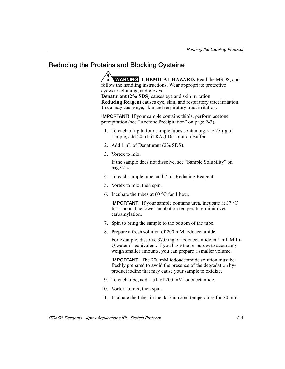### **Reducing the Proteins and Blocking Cysteine**

**WARNING** CHEMICAL HAZARD. Read the MSDS, and follow the handling instructions. Wear appropriate protective eyewear, clothing, and gloves.

**Denaturant (2% SDS)** causes eye and skin irritation. **Reducing Reagent** causes eye, skin, and respiratory tract irritation. **Urea** may cause eye, skin and respiratory tract irritation.

**IMPORTANT!** If your sample contains thiols, perform acetone precipitation (see "Acetone Precipitation" on page 2-3).

- <span id="page-26-0"></span>1. To each of up to four sample tubes containing 5 to 25 μg of sample, add 20 μL iTRAQ Dissolution Buffer.
- <span id="page-26-2"></span>2. Add 1 μL of Denaturant (2% SDS).
- 3. Vortex to mix.

If the sample does not dissolve, see ["Sample Solubility" on](#page-25-1)  [page 2-4.](#page-25-1)

- 4. To each sample tube, add 2 μL Reducing Reagent.
- 5. Vortex to mix, then spin.
- <span id="page-26-1"></span>6. Incubate the tubes at 60 °C for 1 hour.

**IMPORTANT!** If your sample contains urea, incubate at 37 °C for 1 hour. The lower incubation temperature minimizes carbamylation.

- 7. Spin to bring the sample to the bottom of the tube.
- 8. Prepare a fresh solution of 200 mM iodoacetamide.

For example, dissolve 37.0 mg of iodoacetamide in 1 mL Milli-Q water or equivalent. If you have the resources to accurately weigh smaller amounts, you can prepare a smaller volume.

**IMPORTANT!** The 200 mM iodoacetamide solution must be freshly prepared to avoid the presence of the degradation byproduct iodine that may cause your sample to oxidize.

- 9. To each tube, add 1 μL of 200 mM iodoacetamide.
- 10. Vortex to mix, then spin.
- 11. Incubate the tubes in the dark at room temperature for 30 min.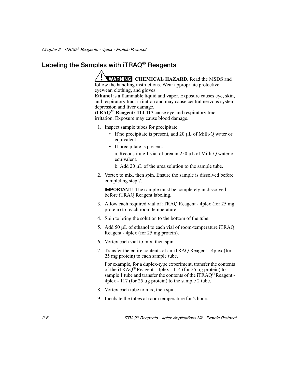## **Labeling the Samples with iTRAQ® Reagents**

**WARNING** CHEMICAL HAZARD. Read the MSDS and follow the handling instructions. Wear appropriate protective eyewear, clothing, and gloves.

**Ethanol** is a flammable liquid and vapor. Exposure causes eye, skin, and respiratory tract irritation and may cause central nervous system depression and liver damage.

**iTRAQ™ Reagents 114-117** cause eye and respiratory tract irritation. Exposure may cause blood damage.

- 1. Inspect sample tubes for precipitate.
	- If no precipitate is present, add 20 μL of Milli-Q water or equivalent.
	- If precipitate is present:

a. Reconstitute 1 vial of urea in 250 μL of Milli-Q water or equivalent.

- b. Add 20 μL of the urea solution to the sample tube.
- 2. Vortex to mix, then spin. Ensure the sample is dissolved before completing [step 7](#page-27-0).

**IMPORTANT!** The sample must be completely in dissolved before iTRAQ Reagent labeling.

- 3. Allow each required vial of iTRAQ Reagent 4plex (for 25 mg protein) to reach room temperature.
- 4. Spin to bring the solution to the bottom of the tube.
- 5. Add 50 μL of ethanol to each vial of room-temperature iTRAQ Reagent - 4plex (for 25 mg protein).
- 6. Vortex each vial to mix, then spin.
- <span id="page-27-0"></span>7. Transfer the entire contents of an iTRAQ Reagent - 4plex (for 25 mg protein) to each sample tube.

For example, for a duplex-type experiment, transfer the contents of the iTRAO<sup>®</sup> Reagent - 4plex - 114 (for 25 µg protein) to sample 1 tube and transfer the contents of the iTRAO<sup>®</sup> Reagent -4plex - 117 (for 25 μg protein) to the sample 2 tube.

- 8. Vortex each tube to mix, then spin.
- 9. Incubate the tubes at room temperature for 2 hours.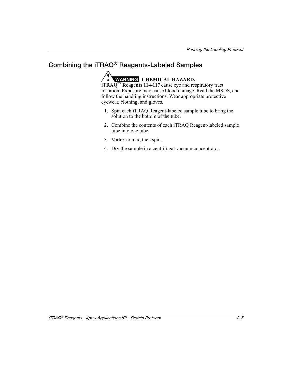## **Combining the iTRAQ® Reagents-Labeled Samples**

WARNING CHEMICAL HAZARD.

**iTRAQ™ Reagents 114-117** cause eye and respiratory tract irritation. Exposure may cause blood damage. Read the MSDS, and follow the handling instructions. Wear appropriate protective eyewear, clothing, and gloves.

- 1. Spin each iTRAQ Reagent-labeled sample tube to bring the solution to the bottom of the tube.
- 2. Combine the contents of each iTRAQ Reagent-labeled sample tube into one tube.
- 3. Vortex to mix, then spin.
- <span id="page-28-0"></span>4. Dry the sample in a centrifugal vacuum concentrator.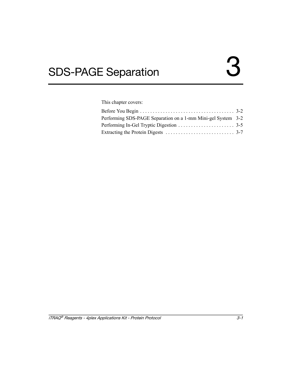<span id="page-30-0"></span>This chapter covers:

| Performing SDS-PAGE Separation on a 1-mm Mini-gel System 3-2 |  |
|--------------------------------------------------------------|--|
|                                                              |  |
|                                                              |  |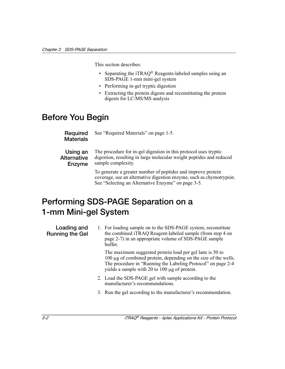This section describes:

- Separating the iTRAQ<sup>®</sup> Reagents-labeled samples using an SDS-PAGE 1-mm mini-gel system
- Performing in-gel tryptic digestion
- Extracting the protein digests and reconstituting the protein digests for LC/MS/MS analysis

## <span id="page-31-0"></span>**Before You Begin**

**Required Materials** See ["Required Materials" on page 1-5.](#page-16-2)

**Using an Alternative Enzyme**

The procedure for in-gel digestion in this protocol uses tryptic digestion, resulting in large molecular weight peptides and reduced sample complexity.

To generate a greater number of peptides and improve protein coverage, use an alternative digestion enzyme, such as chymotrypsin. See ["Selecting an Alternative Enzyme" on page 3-5](#page-34-1).

## <span id="page-31-1"></span>**Performing SDS-PAGE Separation on a 1-mm Mini-gel System**

**Loading and Running the Gel**

1. For loading sample on to the SDS-PAGE system, reconstitute the combined iTRAQ Reagent-labeled sample (from [step 4 on](#page-28-0)  [page 2-7](#page-28-0)) in an appropriate volume of SDS-PAGE sample buffer.

The maximum suggested protein load per gel lane is 50 to 100 μg of combined protein, depending on the size of the wells. The procedure in ["Running the Labeling Protocol" on page 2-4](#page-25-2) yields a sample with 20 to 100 μg of protein.

- 2. Load the SDS-PAGE gel with sample according to the manufacturer's recommendations.
- 3. Run the gel according to the manufacturer's recommendation.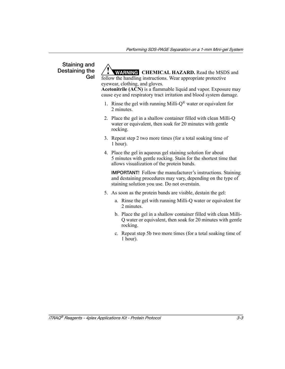#### **Staining and Destaining the Gel**

**WARNING** CHEMICAL HAZARD. Read the MSDS and follow the handling instructions. Wear appropriate protective

eyewear, clothing, and gloves. **Acetonitrile (ACN)** is a flammable liquid and vapor. Exposure may

cause eye and respiratory tract irritation and blood system damage.

- 1. Rinse the gel with running Milli- $Q^{\circledR}$  water or equivalent for 2 minutes.
- 2. Place the gel in a shallow container filled with clean Milli-Q water or equivalent, then soak for 20 minutes with gentle rocking.
- 3. Repeat step 2 two more times (for a total soaking time of 1 hour).
- 4. Place the gel in aqueous gel staining solution for about 5 minutes with gentle rocking. Stain for the shortest time that allows visualization of the protein bands.

**IMPORTANT!** Follow the manufacturer's instructions. Staining and destaining procedures may vary, depending on the type of staining solution you use. Do not overstain.

- 5. As soon as the protein bands are visible, destain the gel:
	- a. Rinse the gel with running Milli-Q water or equivalent for 2 minutes.
	- b. Place the gel in a shallow container filled with clean Milli-Q water or equivalent, then soak for 20 minutes with gentle rocking.
	- c. Repeat step 5b two more times (for a total soaking time of 1 hour).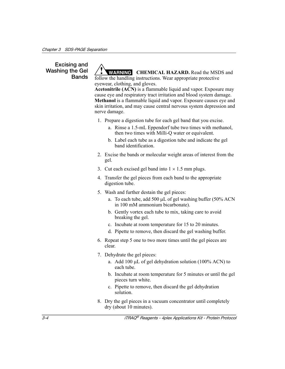### **Excising and Washing the Gel Bands**

**WARNING** CHEMICAL HAZARD. Read the MSDS and follow the handling instructions. Wear appropriate protective eyewear, clothing, and gloves.

**Acetonitrile (ACN)** is a flammable liquid and vapor. Exposure may cause eye and respiratory tract irritation and blood system damage. **Methanol** is a flammable liquid and vapor. Exposure causes eye and skin irritation, and may cause central nervous system depression and nerve damage.

- 1. Prepare a digestion tube for each gel band that you excise.
	- a. Rinse a 1.5-mL Eppendorf tube two times with methanol, then two times with Milli-Q water or equivalent.
	- b. Label each tube as a digestion tube and indicate the gel band identification.
- 2. Excise the bands or molecular weight areas of interest from the gel.
- 3. Cut each excised gel band into  $1 \times 1.5$  mm plugs.
- 4. Transfer the gel pieces from each band to the appropriate digestion tube.
- 5. Wash and further destain the gel pieces:
	- a. To each tube, add 500 μL of gel washing buffer (50% ACN in 100 mM ammonium bicarbonate).
	- b. Gently vortex each tube to mix, taking care to avoid breaking the gel.
	- c. Incubate at room temperature for 15 to 20 minutes.
	- d. Pipette to remove, then discard the gel washing buffer.
- 6. Repeat step 5 one to two more times until the gel pieces are clear.
- 7. Dehydrate the gel pieces:
	- a. Add 100 μL of gel dehydration solution (100% ACN) to each tube.
	- b. Incubate at room temperature for 5 minutes or until the gel pieces turn white.
	- c. Pipette to remove, then discard the gel dehydration solution.
- 8. Dry the gel pieces in a vacuum concentrator until completely dry (about 10 minutes).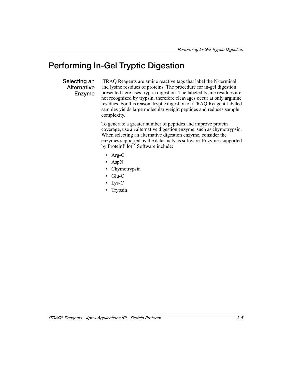## <span id="page-34-0"></span>**Performing In-Gel Tryptic Digestion**

### <span id="page-34-1"></span>**Selecting an Alternative Enzyme**

iTRAQ Reagents are amine reactive tags that label the N-terminal and lysine residues of proteins. The procedure for in-gel digestion presented here uses tryptic digestion. The labeled lysine residues are not recognized by trypsin, therefore cleavages occur at only arginine residues. For this reason, tryptic digestion of iTRAQ Reagent-labeled samples yields large molecular weight peptides and reduces sample complexity.

To generate a greater number of peptides and improve protein coverage, use an alternative digestion enzyme, such as chymotrypsin. When selecting an alternative digestion enzyme, consider the enzymes supported by the data analysis software. Enzymes supported by ProteinPilot™ Software include:

- Arg-C
- AspN
- Chymotrypsin
- Glu-C
- Lys-C
- Trypsin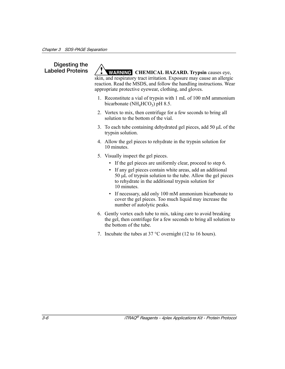# **Digesting the**

Labeled Proteins / **WARNING** CHEMICAL HAZARD. Trypsin causes eye, skin, and respiratory tract irritation. Exposure may cause an allergic reaction. Read the MSDS, and follow the handling instructions. Wear appropriate protective eyewear, clothing, and gloves.

- 1. Reconstitute a vial of trypsin with 1 mL of 100 mM ammonium bicarbonate ( $NH<sub>4</sub>HCO<sub>3</sub>$ ) pH 8.5.
- 2. Vortex to mix, then centrifuge for a few seconds to bring all solution to the bottom of the vial.
- 3. To each tube containing dehydrated gel pieces, add 50 μL of the trypsin solution.
- 4. Allow the gel pieces to rehydrate in the trypsin solution for 10 minutes.
- 5. Visually inspect the gel pieces.
	- If the gel pieces are uniformly clear, proceed to [step 6](#page-35-0).
	- If any gel pieces contain white areas, add an additional 50 μL of trypsin solution to the tube. Allow the gel pieces to rehydrate in the additional trypsin solution for 10 minutes.
	- If necessary, add only 100 mM ammonium bicarbonate to cover the gel pieces. Too much liquid may increase the number of autolytic peaks.
- <span id="page-35-0"></span>6. Gently vortex each tube to mix, taking care to avoid breaking the gel, then centrifuge for a few seconds to bring all solution to the bottom of the tube.
- 7. Incubate the tubes at 37 °C overnight (12 to 16 hours).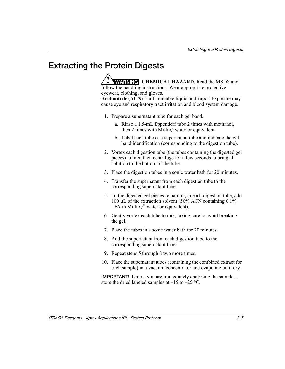## <span id="page-36-0"></span>**Extracting the Protein Digests**

**WARNING** CHEMICAL HAZARD. Read the MSDS and follow the handling instructions. Wear appropriate protective eyewear, clothing, and gloves.

**Acetonitrile (ACN)** is a flammable liquid and vapor. Exposure may cause eye and respiratory tract irritation and blood system damage.

- 1. Prepare a supernatant tube for each gel band.
	- a. Rinse a 1.5-mL Eppendorf tube 2 times with methanol, then 2 times with Milli-Q water or equivalent.
	- b. Label each tube as a supernatant tube and indicate the gel band identification (corresponding to the digestion tube).
- 2. Vortex each digestion tube (the tubes containing the digested gel pieces) to mix, then centrifuge for a few seconds to bring all solution to the bottom of the tube.
- 3. Place the digestion tubes in a sonic water bath for 20 minutes.
- 4. Transfer the supernatant from each digestion tube to the corresponding supernatant tube.
- <span id="page-36-1"></span>5. To the digested gel pieces remaining in each digestion tube, add 100 μL of the extraction solvent (50% ACN containing 0.1% TFA in Milli-Q® water or equivalent).
- 6. Gently vortex each tube to mix, taking care to avoid breaking the gel.
- 7. Place the tubes in a sonic water bath for 20 minutes.
- <span id="page-36-2"></span>8. Add the supernatant from each digestion tube to the corresponding supernatant tube.
- 9. Repeat [steps 5 through](#page-36-1) [8](#page-36-2) two more times.
- 10. Place the supernatant tubes (containing the combined extract for each sample) in a vacuum concentrator and evaporate until dry.

**IMPORTANT!** Unless you are immediately analyzing the samples, store the dried labeled samples at  $-15$  to  $-25$  °C.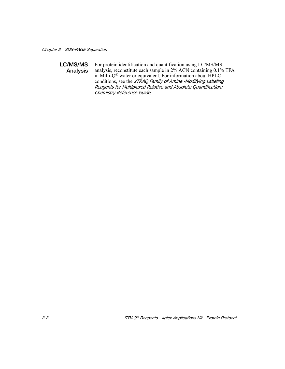#### **LC/MS/MS Analysis** For protein identification and quantification using LC/MS/MS analysis, reconstitute each sample in 2% ACN containing 0.1% TFA in Milli-Q® water or equivalent. For information about HPLC conditions, see the xTRAQ Family of Amine -Modifying Labeling Reagents for Multiplexed Relative and Absolute Quantification: Chemistry Reference Guide*.*